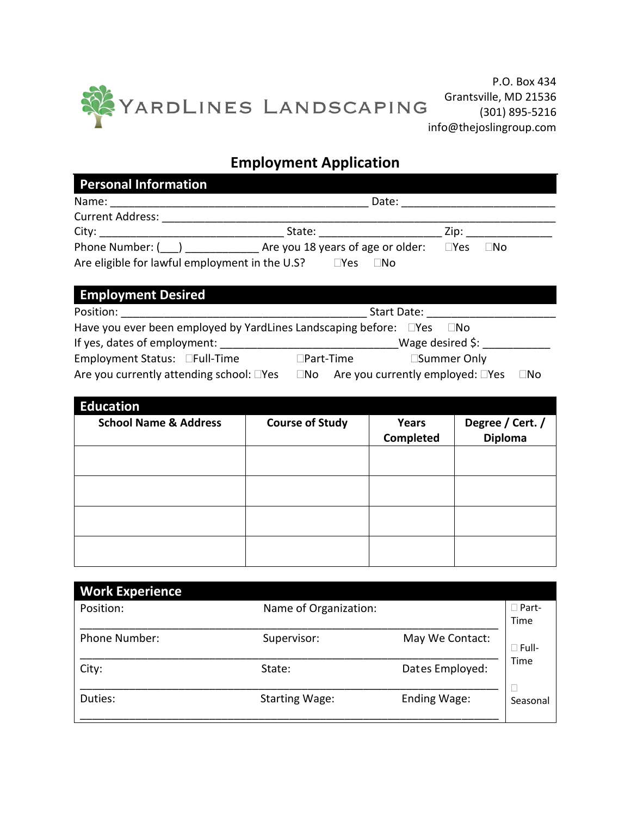

P.O. Box 434 Grantsville, MD 21536 (301) 895-5216

## **Employment Application**

| <b>Personal Information</b>                                                                                                                                                                                                    |                                                        |            |           |  |  |  |  |  |
|--------------------------------------------------------------------------------------------------------------------------------------------------------------------------------------------------------------------------------|--------------------------------------------------------|------------|-----------|--|--|--|--|--|
| Name:                                                                                                                                                                                                                          | Date:                                                  |            |           |  |  |  |  |  |
| <b>Current Address:</b>                                                                                                                                                                                                        |                                                        |            |           |  |  |  |  |  |
| City: the contract of the contract of the contract of the contract of the contract of the contract of the contract of the contract of the contract of the contract of the contract of the contract of the contract of the cont | State:                                                 | Zip:       |           |  |  |  |  |  |
| Phone Number: ( )<br>Are eligible for lawful employment in the U.S?                                                                                                                                                            | Are you 18 years of age or older:<br>$\neg$ Yes<br>⊟No | $\Box$ Yes | $\Box$ No |  |  |  |  |  |

| <b>Employment Desired</b>                                                 |                                                                           |  |  |  |  |
|---------------------------------------------------------------------------|---------------------------------------------------------------------------|--|--|--|--|
| Position:<br>Start Date:                                                  |                                                                           |  |  |  |  |
| Have you ever been employed by YardLines Landscaping before: Nes<br>∣ INo |                                                                           |  |  |  |  |
| If yes, dates of employment:                                              | Wage desired $\frac{1}{2}$ :                                              |  |  |  |  |
| Employment Status: □Full-Time                                             | □Summer Only<br>$\Box$ Part-Time                                          |  |  |  |  |
| Are you currently attending school: □Yes                                  | Are you currently employed: $\square$ Yes<br>$\square$ No<br>$\square$ No |  |  |  |  |

| <b>Education</b><br><b>School Name &amp; Address</b> | <b>Course of Study</b> | Years<br>Completed | Degree / Cert. /<br><b>Diploma</b> |
|------------------------------------------------------|------------------------|--------------------|------------------------------------|
|                                                      |                        |                    |                                    |
|                                                      |                        |                    |                                    |
|                                                      |                        |                    |                                    |
|                                                      |                        |                    |                                    |

| <b>Work Experience</b> |                       |                 |              |
|------------------------|-----------------------|-----------------|--------------|
| Position:              | Name of Organization: |                 | $\Box$ Part- |
|                        |                       |                 | Time         |
| <b>Phone Number:</b>   | Supervisor:           | May We Contact: | $\Box$ Full- |
| City:                  | State:                | Dates Employed: | Time         |
| Duties:                | <b>Starting Wage:</b> | Ending Wage:    | Seasonal     |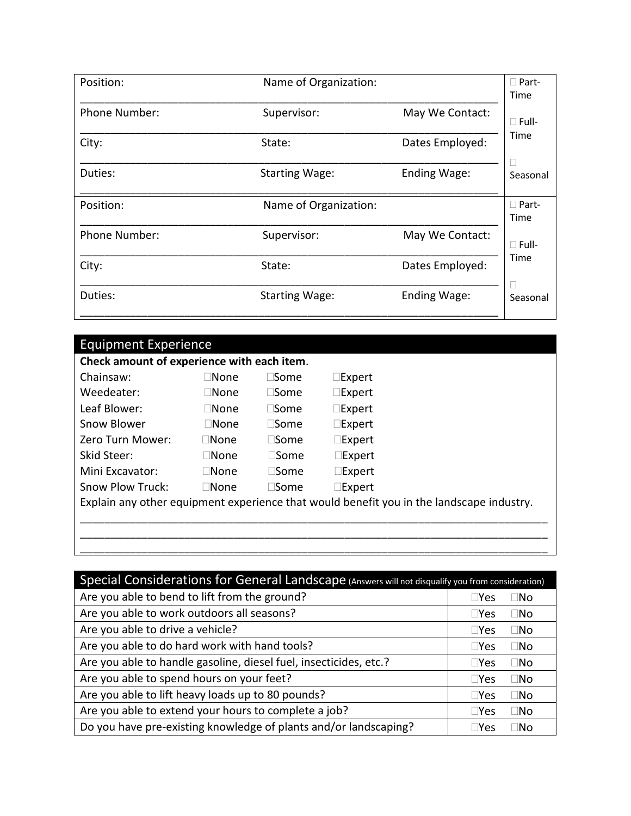| Position:            | Name of Organization: |                 |                      |
|----------------------|-----------------------|-----------------|----------------------|
| <b>Phone Number:</b> | Supervisor:           | May We Contact: | $\Box$ Full-         |
| City:                | State:                | Dates Employed: | Time<br>□            |
| Duties:              | <b>Starting Wage:</b> | Ending Wage:    | Seasonal             |
| Position:            | Name of Organization: |                 | $\Box$ Part-<br>Time |
| Phone Number:        | Supervisor:           | May We Contact: | $\Box$ Full-         |
| City:                | State:                | Dates Employed: | Time                 |
| Duties:              | <b>Starting Wage:</b> | Ending Wage:    | П<br>Seasonal        |

| Chainsaw:               | $\sqcap$ None  | $\square$ Some | $\square$ Expert                                                                         |
|-------------------------|----------------|----------------|------------------------------------------------------------------------------------------|
| Weedeater:              | $\Box$ None    | $\sqcap$ Some  | $\square$ Expert                                                                         |
| Leaf Blower:            | $\Box$ None    | $\sqcap$ Some  | $\square$ Expert                                                                         |
| Snow Blower             | $\square$ None | $\Box$ Some    | $\square$ Expert                                                                         |
| Zero Turn Mower:        | $\Box$ None    | $\Box$ Some    | $\square$ Expert                                                                         |
| Skid Steer:             | ⊤None.         | $\sqcap$ Some  | $\square$ Expert                                                                         |
| Mini Excavator:         | ⊐None          | $\sqcap$ Some  | $\square$ Expert                                                                         |
| <b>Snow Plow Truck:</b> | $\Box$ None    | $\sqcap$ Some  | $\square$ Expert                                                                         |
|                         |                |                | Explain any other equipment experience that would benefit you in the landscape industry. |

| Special Considerations for General Landscape (Answers will not disqualify you from consideration) |               |           |  |  |  |
|---------------------------------------------------------------------------------------------------|---------------|-----------|--|--|--|
| Are you able to bend to lift from the ground?                                                     | $\Box$ Yes    | ⊺No       |  |  |  |
| Are you able to work outdoors all seasons?                                                        | $\Box$ Yes    | $\Box$ No |  |  |  |
| Are you able to drive a vehicle?                                                                  | $\Box$ Yes    | ⊒No       |  |  |  |
| Are you able to do hard work with hand tools?                                                     | $\Box$ Yes    | □No       |  |  |  |
| Are you able to handle gasoline, diesel fuel, insecticides, etc.?                                 | $\square$ Yes | ∏No       |  |  |  |
| Are you able to spend hours on your feet?                                                         | $\Box$ Yes    | $\Box$ No |  |  |  |
| Are you able to lift heavy loads up to 80 pounds?                                                 | $\Box$ Yes    | $\Box$ No |  |  |  |
| Are you able to extend your hours to complete a job?                                              | $\Box$ Yes    | □No       |  |  |  |
| Do you have pre-existing knowledge of plants and/or landscaping?                                  | $\Box$ Yes    | ∃No       |  |  |  |